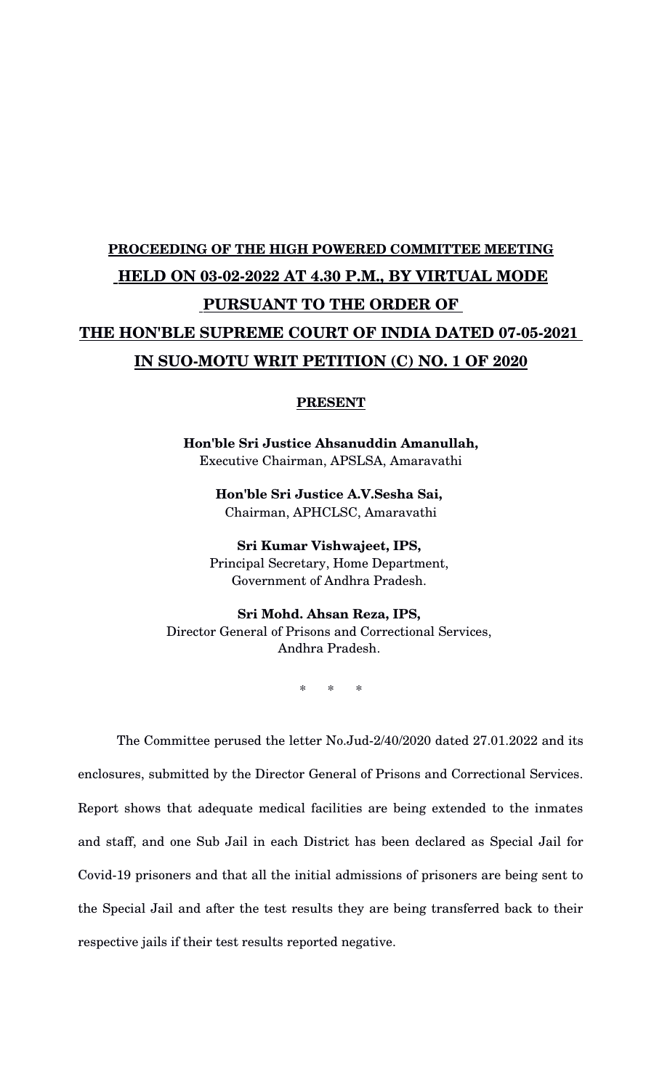## **PROCEEDING OF THE HIGH POWERED COMMITTEE MEETING HELD ON 03-02-2022 AT 4.30 P.M., BY VIRTUAL MODE PURSUANT TO THE ORDER OF**  THE HON'BLE SUPREME COURT OF INDIA DATED 07-05-2021 **IN SUO-MOTU WRIT PETITION (C) NO. 1 OF 2020**

## **PRESENT**

**Hon'ble Sri Justice Ahsanuddin Amanullah,** Executive Chairman, APSLSA, Amaravathi

> **Hon'ble Sri Justice A.V.Sesha Sai,**  Chairman, APHCLSC, Amaravathi

**Sri Kumar Vishwajeet, IPS,** Principal Secretary, Home Department, Government of Andhra Pradesh.

**Sri Mohd. Ahsan Reza, IPS,**  Director General of Prisons and Correctional Services, Andhra Pradesh.

\* \* \*

The Committee perused the letter No. Jud-2/40/2020 dated 27.01.2022 and its enclosures, submitted by the Director General of Prisons and Correctional Services. Report shows that adequate medical facilities are being extended to the inmates and staff, and one Sub Jail in each District has been declared as Special Jail for Covid-19 prisoners and that all the initial admissions of prisoners are being sent to the Special Jail and after the test results they are being transferred back to their respective jails if their test results reported negative.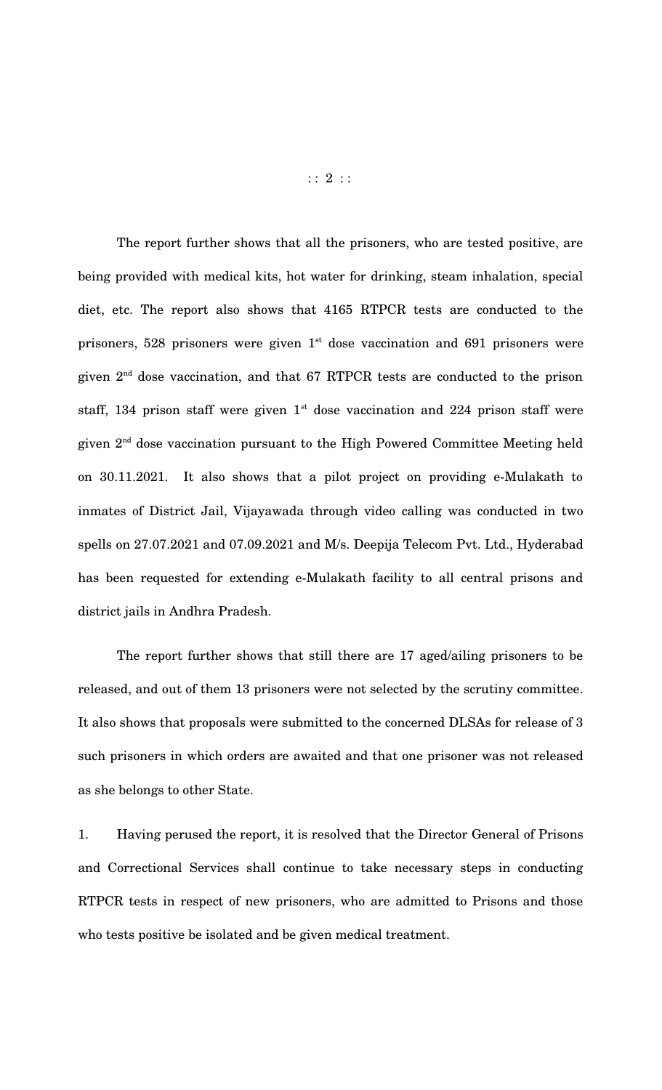The report further shows that all the prisoners, who are tested positive, are being provided with medical kits, hot water for drinking, steam inhalation, special diet, etc. The report also shows that 4165 RTPCR tests are conducted to the prisoners, 528 prisoners were given  $1<sup>st</sup>$  dose vaccination and 691 prisoners were given  $2<sup>nd</sup>$  dose vaccination, and that 67 RTPCR tests are conducted to the prison staff, 134 prison staff were given  $1<sup>st</sup>$  dose vaccination and 224 prison staff were given 2nd dose vaccination pursuant to the High Powered Committee Meeting held on 30.11.2021. It also shows that a pilot project on providing e-Mulakath to inmates of District Jail, Vijayawada through video calling was conducted in two spells on 27.07.2021 and 07.09.2021 and M/s. Deepija Telecom Pvt. Ltd., Hyderabad has been requested for extending e-Mulakath facility to all central prisons and district jails in Andhra Pradesh.

The report further shows that still there are 17 aged/ailing prisoners to be released, and out of them 13 prisoners were not selected by the scrutiny committee. It also shows that proposals were submitted to the concerned DLSAs for release of 3 such prisoners in which orders are awaited and that one prisoner was not released as she belongs to other State.

1. Having perused the report, it is resolved that the Director General of Prisons and Correctional Services shall continue to take necessary steps in conducting RTPCR tests in respect of new prisoners, who are admitted to Prisons and those who tests positive be isolated and be given medical treatment.

 $: : 2 : :$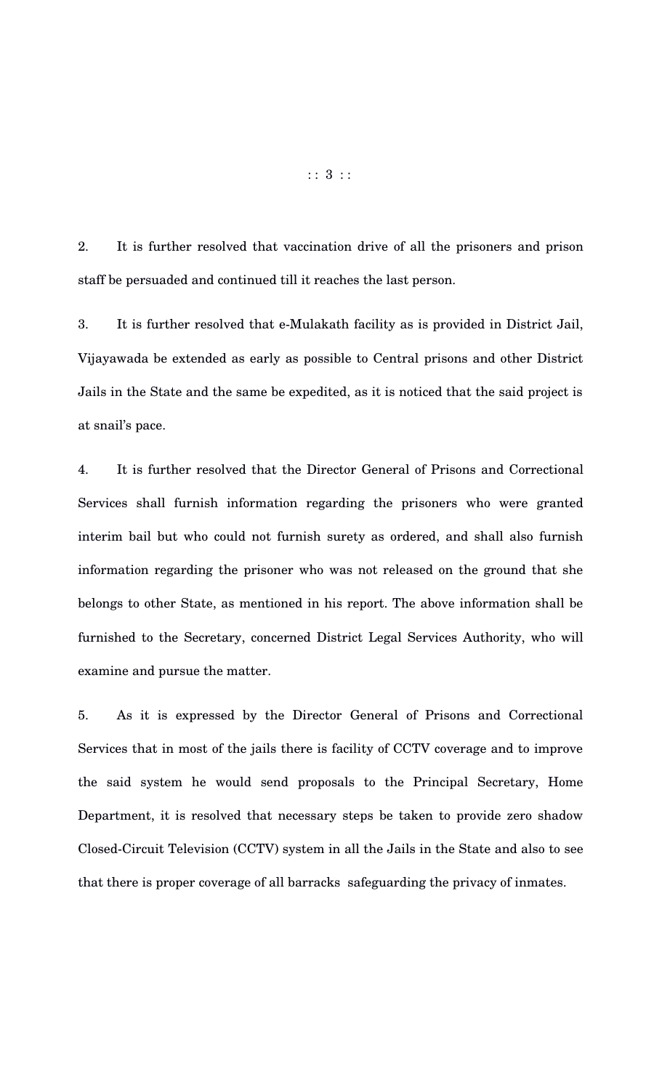2. It is further resolved that vaccination drive of all the prisoners and prison staff be persuaded and continued till it reaches the last person.

3. It is further resolved that e-Mulakath facility as is provided in District Jail, Vijayawada be extended as early as possible to Central prisons and other District Jails in the State and the same be expedited, as it is noticed that the said project is at snail's pace.

4. It is further resolved that the Director General of Prisons and Correctional Services shall furnish information regarding the prisoners who were granted interim bail but who could not furnish surety as ordered, and shall also furnish information regarding the prisoner who was not released on the ground that she belongs to other State, as mentioned in his report. The above information shall be furnished to the Secretary, concerned District Legal Services Authority, who will examine and pursue the matter.

5. As it is expressed by the Director General of Prisons and Correctional Services that in most of the jails there is facility of CCTV coverage and to improve the said system he would send proposals to the Principal Secretary, Home Department, it is resolved that necessary steps be taken to provide zero shadow Closed-Circuit Television (CCTV) system in all the Jails in the State and also to see that there is proper coverage of all barracks safeguarding the privacy of inmates.